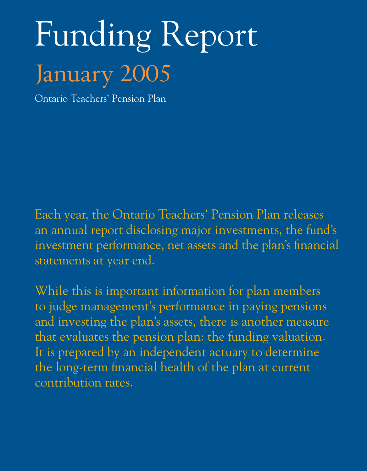# Funding Report January 2005

Ontario Teachers' Pension Plan

Each year, the Ontario Teachers' Pension Plan releases an annual report disclosing major investments, the fund's investment performance, net assets and the plan's financial statements at year end.

While this is important information for plan members to judge management's performance in paying pensions and investing the plan's assets, there is another measure that evaluates the pension plan: the funding valuation. It is prepared by an independent actuary to determine the long-term financial health of the plan at current contribution rates.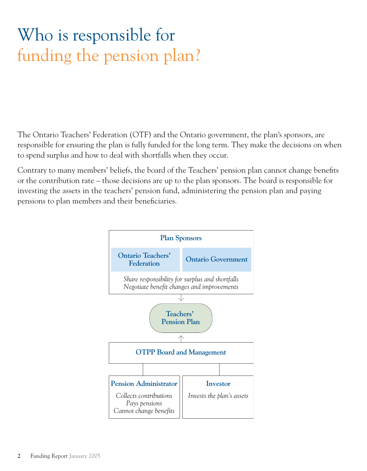# Who is responsible for funding the pension plan?

The Ontario Teachers' Federation (OTF) and the Ontario government, the plan's sponsors, are responsible for ensuring the plan is fully funded for the long term. They make the decisions on when to spend surplus and how to deal with shortfalls when they occur.

Contrary to many members' beliefs, the board of the Teachers' pension plan cannot change benefits or the contribution rate – those decisions are up to the plan sponsors. The board is responsible for investing the assets in the teachers' pension fund, administering the pension plan and paying pensions to plan members and their beneficiaries.

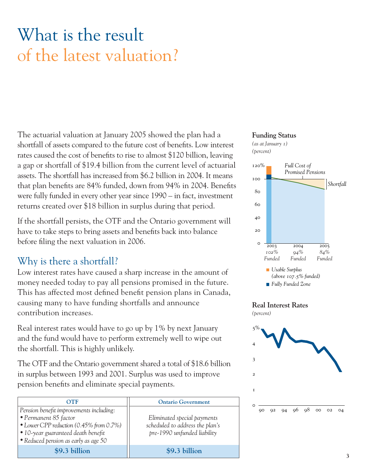# What is the result of the latest valuation?

The actuarial valuation at January 2005 showed the plan had a shortfall of assets compared to the future cost of benefits. Low interest rates caused the cost of benefits to rise to almost \$120 billion, leaving a gap or shortfall of \$19.4 billion from the current level of actuarial assets. The shortfall has increased from \$6.2 billion in 2004. It means that plan benefits are 84% funded, down from 94% in 2004. Benefits were fully funded in every other year since 1990 – in fact, investment returns created over \$18 billion in surplus during that period.

If the shortfall persists, the OTF and the Ontario government will have to take steps to bring assets and benefits back into balance before filing the next valuation in 2006.

### Why is there a shortfall?

Low interest rates have caused a sharp increase in the amount of money needed today to pay all pensions promised in the future. This has affected most defined benefit pension plans in Canada, causing many to have funding shortfalls and announce contribution increases.

Real interest rates would have to go up by 1% by next January and the fund would have to perform extremely well to wipe out the shortfall. This is highly unlikely.

The OTF and the Ontario government shared a total of \$18.6 billion in surplus between 1993 and 2001. Surplus was used to improve pension benefits and eliminate special payments.

| OTF                                     | <b>Ontario Government</b>       | $\Omega$ |
|-----------------------------------------|---------------------------------|----------|
| Pension benefit improvements including: |                                 |          |
| • Permanent 85 factor                   | Eliminated special payments     |          |
| • Lower CPP reduction (0.45% from 0.7%) | scheduled to address the plan's |          |
| • 10-year guaranteed death benefit      | pre-1990 unfunded liability     |          |
| • Reduced pension as early as age 50    |                                 |          |
| \$9.3 billion                           | \$9.3 billion                   |          |
|                                         |                                 |          |

#### **Funding Status**







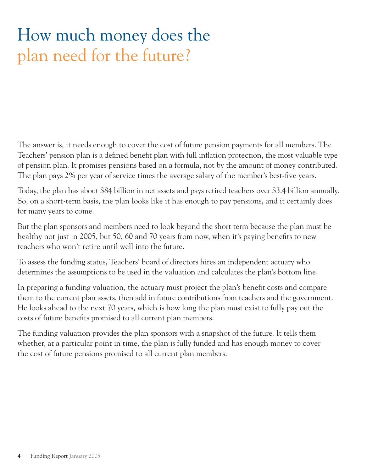# How much money does the plan need for the future?

The answer is, it needs enough to cover the cost of future pension payments for all members. The Teachers' pension plan is a defined benefit plan with full inflation protection, the most valuable type of pension plan. It promises pensions based on a formula, not by the amount of money contributed. The plan pays 2% per year of service times the average salary of the member's best-five years.

Today, the plan has about \$84 billion in net assets and pays retired teachers over \$3.4 billion annually. So, on a short-term basis, the plan looks like it has enough to pay pensions, and it certainly does for many years to come.

But the plan sponsors and members need to look beyond the short term because the plan must be healthy not just in 2005, but 50, 60 and 70 years from now, when it's paying benefits to new teachers who won't retire until well into the future.

To assess the funding status, Teachers' board of directors hires an independent actuary who determines the assumptions to be used in the valuation and calculates the plan's bottom line.

In preparing a funding valuation, the actuary must project the plan's benefit costs and compare them to the current plan assets, then add in future contributions from teachers and the government. He looks ahead to the next 70 years, which is how long the plan must exist to fully pay out the costs of future benefits promised to all current plan members.

The funding valuation provides the plan sponsors with a snapshot of the future. It tells them whether, at a particular point in time, the plan is fully funded and has enough money to cover the cost of future pensions promised to all current plan members.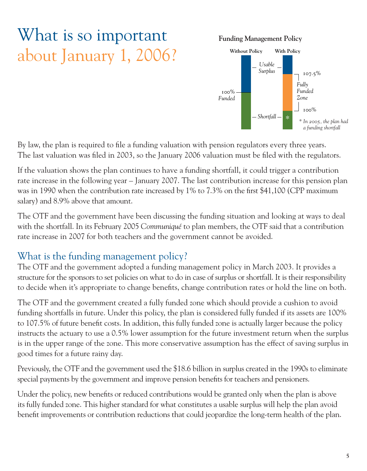# What is so important about January 1, 2006?

**Funding Management Policy**



By law, the plan is required to file a funding valuation with pension regulators every three years. The last valuation was filed in 2003, so the January 2006 valuation must be filed with the regulators.

If the valuation shows the plan continues to have a funding shortfall, it could trigger a contribution rate increase in the following year – January 2007. The last contribution increase for this pension plan was in 1990 when the contribution rate increased by 1% to 7.3% on the first \$41,100 (CPP maximum salary) and 8.9% above that amount.

The OTF and the government have been discussing the funding situation and looking at ways to deal with the shortfall. In its February 2005 *Communiqué* to plan members, the OTF said that a contribution rate increase in 2007 for both teachers and the government cannot be avoided.

### What is the funding management policy?

The OTF and the government adopted a funding management policy in March 2003. It provides a structure for the sponsors to set policies on what to do in case of surplus or shortfall. It is their responsibility to decide when it's appropriate to change benefits, change contribution rates or hold the line on both.

The OTF and the government created a fully funded zone which should provide a cushion to avoid funding shortfalls in future. Under this policy, the plan is considered fully funded if its assets are 100% to 107.5% of future benefit costs. In addition, this fully funded zone is actually larger because the policy instructs the actuary to use a 0.5% lower assumption for the future investment return when the surplus is in the upper range of the zone. This more conservative assumption has the effect of saving surplus in good times for a future rainy day.

Previously, the OTF and the government used the \$18.6 billion in surplus created in the 1990s to eliminate special payments by the government and improve pension benefits for teachers and pensioners.

Under the policy, new benefits or reduced contributions would be granted only when the plan is above its fully funded zone. This higher standard for what constitutes a usable surplus will help the plan avoid benefit improvements or contribution reductions that could jeopardize the long-term health of the plan.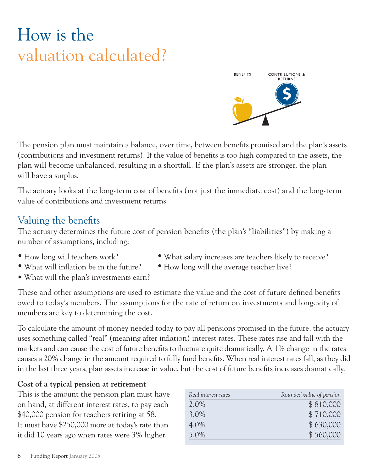# How is the valuation calculated?



The pension plan must maintain a balance, over time, between benefits promised and the plan's assets (contributions and investment returns). If the value of benefits is too high compared to the assets, the plan will become unbalanced, resulting in a shortfall. If the plan's assets are stronger, the plan will have a surplus.

The actuary looks at the long-term cost of benefits (not just the immediate cost) and the long-term value of contributions and investment returns.

### Valuing the benefits

The actuary determines the future cost of pension benefits (the plan's "liabilities") by making a number of assumptions, including:

- How long will teachers work? What salary increases are teachers likely to receive?
- What will inflation be in the future? How long will the average teacher live?
- What will the plan's investments earn?
- These and other assumptions are used to estimate the value and the cost of future defined benefits owed to today's members. The assumptions for the rate of return on investments and longevity of members are key to determining the cost.

To calculate the amount of money needed today to pay all pensions promised in the future, the actuary uses something called "real" (meaning after inflation) interest rates. These rates rise and fall with the markets and can cause the cost of future benefits to fluctuate quite dramatically. A 1% change in the rates causes a 20% change in the amount required to fully fund benefits. When real interest rates fall, as they did in the last three years, plan assets increase in value, but the cost of future benefits increases dramatically.

#### **Cost of a typical pension at retirement**

This is the amount the pension plan must have on hand, at different interest rates, to pay each \$40,000 pension for teachers retiring at 58. It must have \$250,000 more at today's rate than it did 10 years ago when rates were 3% higher.

| Real interest rates | Rounded value of pension |
|---------------------|--------------------------|
| $2.0\%$             | \$810,000                |
| 3.0%                | \$710,000                |
| 4.0%                | \$630,000                |
| 5.0%                | \$560,000                |
|                     |                          |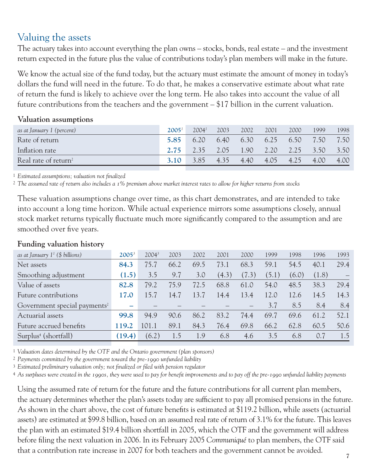### Valuing the assets

The actuary takes into account everything the plan owns – stocks, bonds, real estate – and the investment return expected in the future plus the value of contributions today's plan members will make in the future.

We know the actual size of the fund today, but the actuary must estimate the amount of money in today's dollars the fund will need in the future. To do that, he makes a conservative estimate about what rate of return the fund is likely to achieve over the long term. He also takes into account the value of all future contributions from the teachers and the government – \$17 billion in the current valuation.

| as at January 1 (percent)        | 2005 <sup>1</sup> | 2004 <sup>1</sup> | 2003 | 2002                     | 2001 | 2000 | 1999 | 1998 |
|----------------------------------|-------------------|-------------------|------|--------------------------|------|------|------|------|
| Rate of return                   | 5.85              | 6.20              |      | 6.40 6.30                | 6.25 | 6.50 | 7.50 | 7.50 |
| Inflation rate                   | 2.75              | $-2.35$           |      | 2.05 1.90 2.20 2.25 3.50 |      |      |      | 3.50 |
| Real rate of return <sup>2</sup> | 3.10              | 3.85              | 4.35 | 4.40                     | 4.05 | 4.25 | 4.00 | 4.00 |
|                                  |                   |                   |      |                          |      |      |      |      |

#### **Valuation assumptions**

1 *Estimated assumptions; valuation not finalized*

2 *The assumed rate of return also includes a 1% premium above market interest rates to allow for higher returns from stocks*

These valuation assumptions change over time, as this chart demonstrates, and are intended to take into account a long time horizon. While actual experience mirrors some assumptions closely, annual stock market returns typically fluctuate much more significantly compared to the assumption and are smoothed over five years.

| as at January $1^1$ (\$ billions)        | $2005^3$ | $2004^3$ | 2003 | 2002 | 2001  | 2000  | 1999  | 1998  | 1996  | 1993 |
|------------------------------------------|----------|----------|------|------|-------|-------|-------|-------|-------|------|
| Net assets                               | 84.3     | 75.7     | 66.2 | 69.5 | 73.1  | 68.3  | 59.1  | 54.5  | 40.1  | 29.4 |
| Smoothing adjustment                     | (1.5)    | 3.5      | 9.7  | 3.0  | (4.3) | (7.3) | (5.1) | (6.0) | (1.8) |      |
| Value of assets                          | 82.8     | 79.2     | 75.9 | 72.5 | 68.8  | 61.0  | 54.0  | 48.5  | 38.3  | 29.4 |
| Future contributions                     | 17.0     | 15.7     | 14.7 | 13.7 | 14.4  | 13.4  | 12.0  | 12.6  | 14.5  | 14.3 |
| Government special payments <sup>2</sup> |          |          |      |      |       |       | 3.7   | 8.5   | 8.4   | 8.4  |
| Actuarial assets                         | 99.8     | 94.9     | 90.6 | 86.2 | 83.2  | 74.4  | 69.7  | 69.6  | 61.2  | 52.1 |
| Future accrued benefits                  | 119.2    | 101.1    | 89.1 | 84.3 | 76.4  | 69.8  | 66.2  | 62.8  | 60.5  | 50.6 |
| Surplus <sup>4</sup> (shortfall)         | (19.4)   | (6.2)    | 1.5  | 1.9  | 6.8   | 4.6   | 3.5   | 6.8   | 0.7   | 1.5  |
|                                          |          |          |      |      |       |       |       |       |       |      |

#### **Funding valuation history**

1 *Valuation dates determined by the OTF and the Ontario government (plan sponsors)*

2 *Payments committed by the government toward the pre-1990 unfunded liability*

3 *Estimated preliminary valuation only; not finalized or filed with pension regulator*

4 *As surpluses were created in the 1990s, they were used to pay for benefit improvements and to pay off the pre-1990 unfunded liability payments*

Using the assumed rate of return for the future and the future contributions for all current plan members, the actuary determines whether the plan's assets today are sufficient to pay all promised pensions in the future. As shown in the chart above, the cost of future benefits is estimated at \$119.2 billion, while assets (actuarial assets) are estimated at \$99.8 billion, based on an assumed real rate of return of 3.1% for the future. This leaves the plan with an estimated \$19.4 billion shortfall in 2005, which the OTF and the government will address before filing the next valuation in 2006. In its February 2005 *Communiqué* to plan members, the OTF said that a contribution rate increase in 2007 for both teachers and the government cannot be avoided.